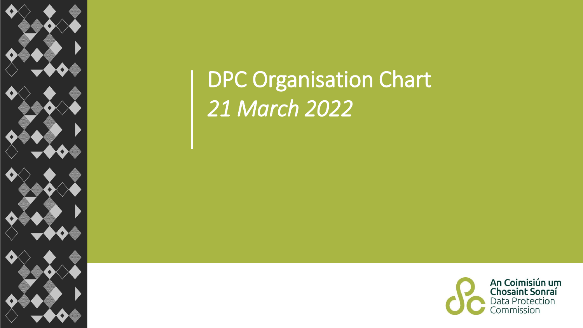

## DPC Organisation Chart *21 March 2022*